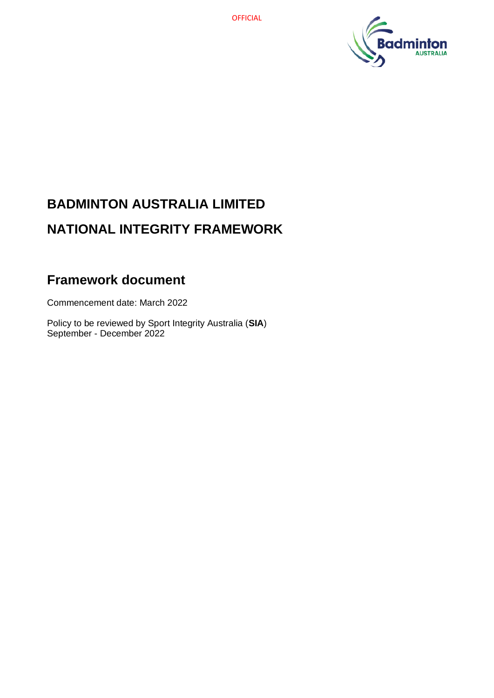

# **BADMINTON AUSTRALIA LIMITED NATIONAL INTEGRITY FRAMEWORK**

## **Framework document**

Commencement date: March 2022

Policy to be reviewed by Sport Integrity Australia (**SIA**) September - December 2022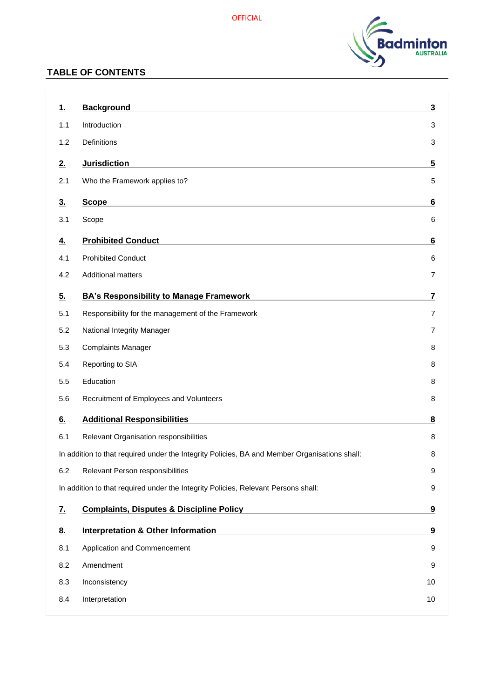

### **TABLE OF CONTENTS**

| <u>1.</u>                                                                               | <b>Background</b>                                                                             | 3                       |
|-----------------------------------------------------------------------------------------|-----------------------------------------------------------------------------------------------|-------------------------|
| 1.1                                                                                     | Introduction                                                                                  | 3                       |
| 1.2                                                                                     | <b>Definitions</b>                                                                            | 3                       |
| 2.                                                                                      | <b>Jurisdiction</b>                                                                           | $\overline{\mathbf{5}}$ |
| 2.1                                                                                     | Who the Framework applies to?                                                                 | 5                       |
| 3.                                                                                      | <b>Scope</b>                                                                                  | 6                       |
| 3.1                                                                                     | Scope                                                                                         | 6                       |
|                                                                                         | <b>Prohibited Conduct</b>                                                                     |                         |
| <u>4.</u>                                                                               | <b>Prohibited Conduct</b>                                                                     | 6                       |
| 4.1<br>4.2                                                                              | <b>Additional matters</b>                                                                     | 6<br>7                  |
|                                                                                         |                                                                                               |                         |
| 5.                                                                                      | <b>BA's Responsibility to Manage Framework</b>                                                | 7                       |
| 5.1                                                                                     | Responsibility for the management of the Framework                                            | 7                       |
| 5.2                                                                                     | National Integrity Manager                                                                    | 7                       |
| 5.3                                                                                     | <b>Complaints Manager</b>                                                                     | 8                       |
| 5.4                                                                                     | Reporting to SIA                                                                              | 8                       |
| 5.5                                                                                     | Education                                                                                     | 8                       |
| 5.6                                                                                     | Recruitment of Employees and Volunteers                                                       | 8                       |
| 6.                                                                                      | <b>Additional Responsibilities</b>                                                            | 8                       |
| 6.1                                                                                     | Relevant Organisation responsibilities                                                        | 8                       |
|                                                                                         | In addition to that required under the Integrity Policies, BA and Member Organisations shall: | 8                       |
| 6.2                                                                                     | Relevant Person responsibilities                                                              | 9                       |
| In addition to that required under the Integrity Policies, Relevant Persons shall:<br>9 |                                                                                               |                         |
| <u>7.</u>                                                                               | <b>Complaints, Disputes &amp; Discipline Policy</b>                                           | 9                       |
| 8.                                                                                      | <b>Interpretation &amp; Other Information</b>                                                 | 9                       |
| 8.1                                                                                     | Application and Commencement                                                                  | 9                       |
| 8.2                                                                                     | Amendment                                                                                     | 9                       |
| 8.3                                                                                     | Inconsistency                                                                                 | 10                      |
| 8.4                                                                                     | Interpretation                                                                                | 10                      |
|                                                                                         |                                                                                               |                         |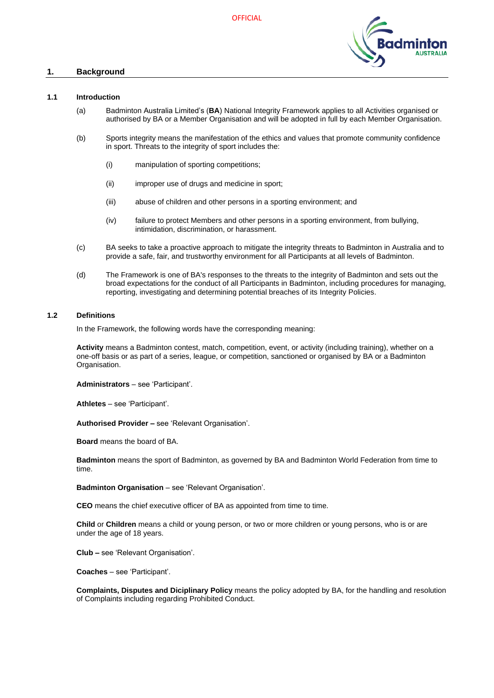

#### <span id="page-2-0"></span>**1. Background**

#### <span id="page-2-1"></span>**1.1 Introduction**

- (a) Badminton Australia Limited's (**BA**) National Integrity Framework applies to all Activities organised or authorised by BA or a Member Organisation and will be adopted in full by each Member Organisation.
- (b) Sports integrity means the manifestation of the ethics and values that promote community confidence in sport. Threats to the integrity of sport includes the:
	- (i) manipulation of sporting competitions;
	- (ii) improper use of drugs and medicine in sport;
	- (iii) abuse of children and other persons in a sporting environment; and
	- (iv) failure to protect Members and other persons in a sporting environment, from bullying, intimidation, discrimination, or harassment.
- (c) BA seeks to take a proactive approach to mitigate the integrity threats to Badminton in Australia and to provide a safe, fair, and trustworthy environment for all Participants at all levels of Badminton.
- (d) The Framework is one of BA's responses to the threats to the integrity of Badminton and sets out the broad expectations for the conduct of all Participants in Badminton, including procedures for managing, reporting, investigating and determining potential breaches of its Integrity Policies.

#### <span id="page-2-2"></span>**1.2 Definitions**

In the Framework, the following words have the corresponding meaning:

**Activity** means a Badminton contest, match, competition, event, or activity (including training), whether on a one-off basis or as part of a series, league, or competition, sanctioned or organised by BA or a Badminton Organisation.

**Administrators** – see 'Participant'.

**Athletes** – see 'Participant'.

**Authorised Provider –** see 'Relevant Organisation'.

**Board** means the board of BA.

**Badminton** means the sport of Badminton, as governed by BA and Badminton World Federation from time to time.

**Badminton Organisation** – see 'Relevant Organisation'.

**CEO** means the chief executive officer of BA as appointed from time to time.

**Child** or **Children** means a child or young person, or two or more children or young persons, who is or are under the age of 18 years.

**Club –** see 'Relevant Organisation'.

**Coaches** – see 'Participant'.

**Complaints, Disputes and Diciplinary Policy** means the policy adopted by BA, for the handling and resolution of Complaints including regarding Prohibited Conduct.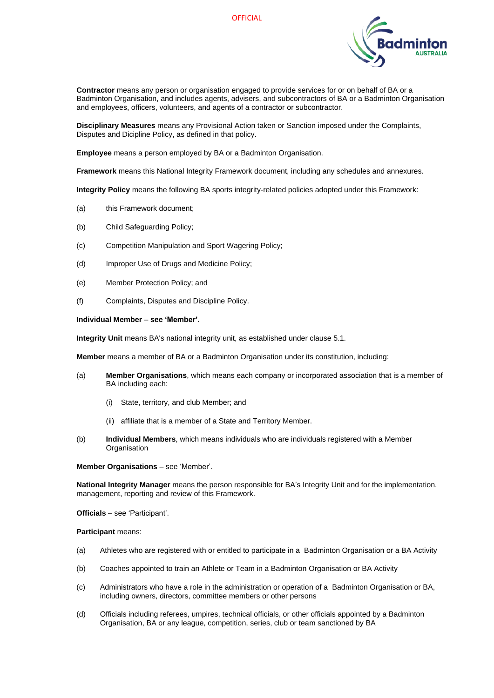

**Contractor** means any person or organisation engaged to provide services for or on behalf of BA or a Badminton Organisation, and includes agents, advisers, and subcontractors of BA or a Badminton Organisation and employees, officers, volunteers, and agents of a contractor or subcontractor.

**Disciplinary Measures** means any Provisional Action taken or Sanction imposed under the Complaints, Disputes and Dicipline Policy, as defined in that policy.

**Employee** means a person employed by BA or a Badminton Organisation.

**Framework** means this National Integrity Framework document, including any schedules and annexures.

**Integrity Policy** means the following BA sports integrity-related policies adopted under this Framework:

- (a) this Framework document;
- (b) Child Safeguarding Policy;
- (c) Competition Manipulation and Sport Wagering Policy;
- (d) Improper Use of Drugs and Medicine Policy;
- (e) Member Protection Policy; and
- (f) Complaints, Disputes and Discipline Policy.

#### **Individual Member** – **see 'Member'.**

**Integrity Unit** means BA's national integrity unit, as established under clause [5.1.](#page-6-2)

**Member** means a member of BA or a Badminton Organisation under its constitution, including:

- (a) **Member Organisations**, which means each company or incorporated association that is a member of BA including each:
	- (i) State, territory, and club Member; and
	- (ii) affiliate that is a member of a State and Territory Member.
- (b) **Individual Members**, which means individuals who are individuals registered with a Member **Organisation**

**Member Organisations** – see 'Member'.

**National Integrity Manager** means the person responsible for BA's Integrity Unit and for the implementation, management, reporting and review of this Framework.

**Officials** – see 'Participant'.

**Participant** means:

- (a) Athletes who are registered with or entitled to participate in a Badminton Organisation or a BA Activity
- (b) Coaches appointed to train an Athlete or Team in a Badminton Organisation or BA Activity
- (c) Administrators who have a role in the administration or operation of a Badminton Organisation or BA, including owners, directors, committee members or other persons
- (d) Officials including referees, umpires, technical officials, or other officials appointed by a Badminton Organisation, BA or any league, competition, series, club or team sanctioned by BA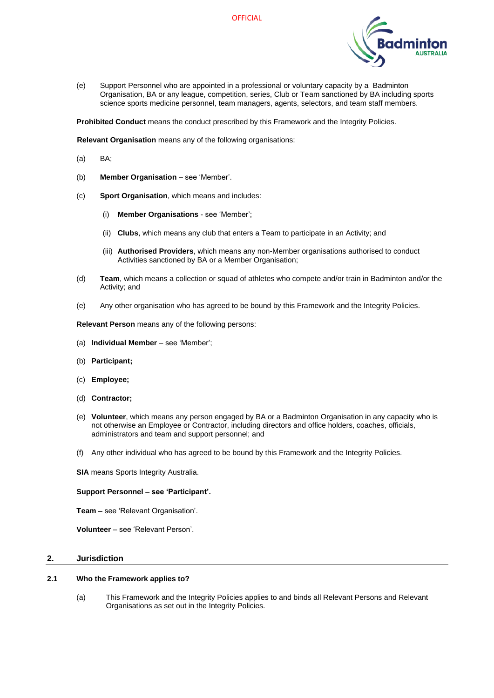

(e) Support Personnel who are appointed in a professional or voluntary capacity by a Badminton Organisation, BA or any league, competition, series, Club or Team sanctioned by BA including sports science sports medicine personnel, team managers, agents, selectors, and team staff members.

**Prohibited Conduct** means the conduct prescribed by this Framework and the Integrity Policies.

**Relevant Organisation** means any of the following organisations:

- (a) BA;
- (b) **Member Organisation** see 'Member'.
- (c) **Sport Organisation**, which means and includes:
	- (i) **Member Organisations** see 'Member';
	- (ii) **Clubs**, which means any club that enters a Team to participate in an Activity; and
	- (iii) **Authorised Providers**, which means any non-Member organisations authorised to conduct Activities sanctioned by BA or a Member Organisation;
- (d) **Team**, which means a collection or squad of athletes who compete and/or train in Badminton and/or the Activity; and
- (e) Any other organisation who has agreed to be bound by this Framework and the Integrity Policies.

**Relevant Person** means any of the following persons:

- (a) **Individual Member** see 'Member';
- (b) **Participant;**
- (c) **Employee;**
- (d) **Contractor;**
- (e) **Volunteer**, which means any person engaged by BA or a Badminton Organisation in any capacity who is not otherwise an Employee or Contractor, including directors and office holders, coaches, officials, administrators and team and support personnel; and
- (f) Any other individual who has agreed to be bound by this Framework and the Integrity Policies.

**SIA** means Sports Integrity Australia.

#### **Support Personnel – see 'Participant'.**

**Team –** see 'Relevant Organisation'.

**Volunteer** – see 'Relevant Person'.

#### <span id="page-4-0"></span>**2. Jurisdiction**

#### <span id="page-4-1"></span>**2.1 Who the Framework applies to?**

(a) This Framework and the Integrity Policies applies to and binds all Relevant Persons and Relevant Organisations as set out in the Integrity Policies.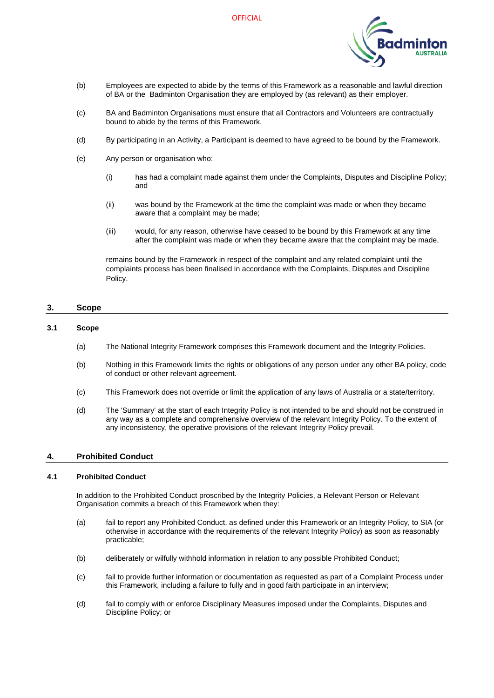**OFFICIAL** 



- (b) Employees are expected to abide by the terms of this Framework as a reasonable and lawful direction of BA or the Badminton Organisation they are employed by (as relevant) as their employer.
- (c) BA and Badminton Organisations must ensure that all Contractors and Volunteers are contractually bound to abide by the terms of this Framework.
- (d) By participating in an Activity, a Participant is deemed to have agreed to be bound by the Framework.
- (e) Any person or organisation who:
	- (i) has had a complaint made against them under the Complaints, Disputes and Discipline Policy; and
	- (ii) was bound by the Framework at the time the complaint was made or when they became aware that a complaint may be made;
	- (iii) would, for any reason, otherwise have ceased to be bound by this Framework at any time after the complaint was made or when they became aware that the complaint may be made,

remains bound by the Framework in respect of the complaint and any related complaint until the complaints process has been finalised in accordance with the Complaints, Disputes and Discipline Policy.

#### <span id="page-5-0"></span>**3. Scope**

#### <span id="page-5-1"></span>**3.1 Scope**

- (a) The National Integrity Framework comprises this Framework document and the Integrity Policies.
- (b) Nothing in this Framework limits the rights or obligations of any person under any other BA policy, code of conduct or other relevant agreement.
- (c) This Framework does not override or limit the application of any laws of Australia or a state/territory.
- (d) The 'Summary' at the start of each Integrity Policy is not intended to be and should not be construed in any way as a complete and comprehensive overview of the relevant Integrity Policy. To the extent of any inconsistency, the operative provisions of the relevant Integrity Policy prevail.

#### <span id="page-5-2"></span>**4. Prohibited Conduct**

#### <span id="page-5-3"></span>**4.1 Prohibited Conduct**

In addition to the Prohibited Conduct proscribed by the Integrity Policies, a Relevant Person or Relevant Organisation commits a breach of this Framework when they:

- (a) fail to report any Prohibited Conduct, as defined under this Framework or an Integrity Policy, to SIA (or otherwise in accordance with the requirements of the relevant Integrity Policy) as soon as reasonably practicable;
- (b) deliberately or wilfully withhold information in relation to any possible Prohibited Conduct;
- (c) fail to provide further information or documentation as requested as part of a Complaint Process under this Framework, including a failure to fully and in good faith participate in an interview;
- (d) fail to comply with or enforce Disciplinary Measures imposed under the Complaints, Disputes and Discipline Policy; or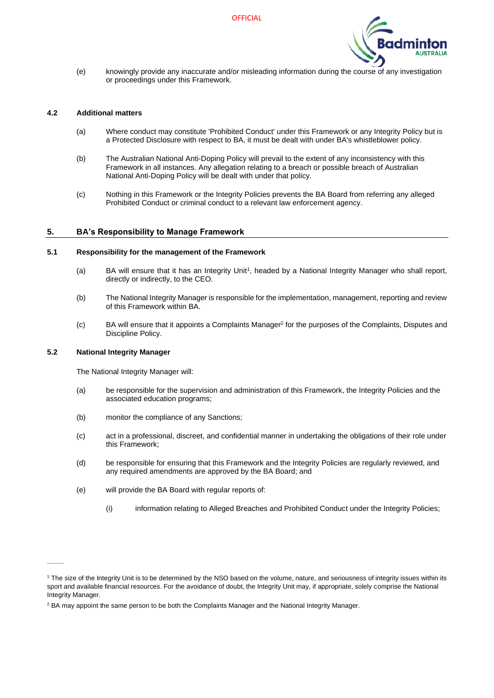

(e) knowingly provide any inaccurate and/or misleading information during the course of any investigation or proceedings under this Framework.

#### <span id="page-6-0"></span>**4.2 Additional matters**

- (a) Where conduct may constitute 'Prohibited Conduct' under this Framework or any Integrity Policy but is a Protected Disclosure with respect to BA, it must be dealt with under BA's whistleblower policy.
- (b) The Australian National Anti-Doping Policy will prevail to the extent of any inconsistency with this Framework in all instances. Any allegation relating to a breach or possible breach of Australian National Anti-Doping Policy will be dealt with under that policy.
- (c) Nothing in this Framework or the Integrity Policies prevents the BA Board from referring any alleged Prohibited Conduct or criminal conduct to a relevant law enforcement agency.

#### <span id="page-6-1"></span>**5. BA's Responsibility to Manage Framework**

#### <span id="page-6-2"></span>**5.1 Responsibility for the management of the Framework**

- (a) BA will ensure that it has an Integrity Unit<sup>1</sup>, headed by a National Integrity Manager who shall report, directly or indirectly, to the CEO.
- (b) The National Integrity Manager is responsible for the implementation, management, reporting and review of this Framework within BA.
- (c) BA will ensure that it appoints a Complaints Manager<sup>2</sup> for the purposes of the Complaints, Disputes and Discipline Policy.

#### <span id="page-6-3"></span>**5.2 National Integrity Manager**

 $\overline{\phantom{a}}$ 

The National Integrity Manager will:

- (a) be responsible for the supervision and administration of this Framework, the Integrity Policies and the associated education programs;
- (b) monitor the compliance of any Sanctions;
- (c) act in a professional, discreet, and confidential manner in undertaking the obligations of their role under this Framework;
- (d) be responsible for ensuring that this Framework and the Integrity Policies are regularly reviewed, and any required amendments are approved by the BA Board; and
- (e) will provide the BA Board with regular reports of:
	- (i) information relating to Alleged Breaches and Prohibited Conduct under the Integrity Policies;

<sup>&</sup>lt;sup>1</sup> The size of the Integrity Unit is to be determined by the NSO based on the volume, nature, and seriousness of integrity issues within its sport and available financial resources. For the avoidance of doubt, the Integrity Unit may, if appropriate, solely comprise the National Integrity Manager.

 $<sup>2</sup>$  BA may appoint the same person to be both the Complaints Manager and the National Integrity Manager.</sup>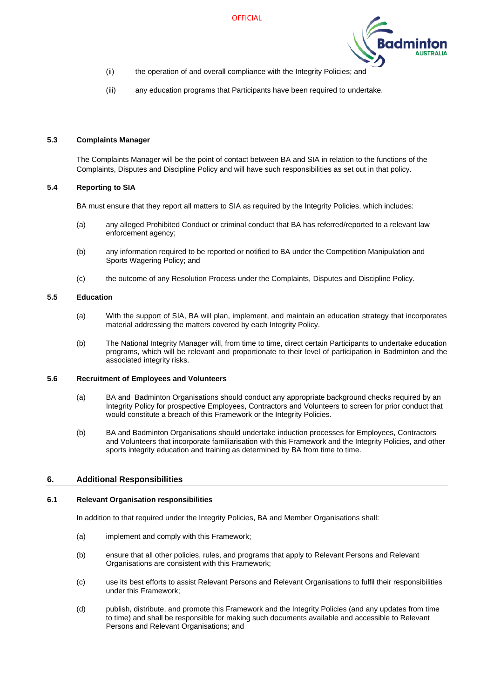

- (ii) the operation of and overall compliance with the Integrity Policies; and
- (iii) any education programs that Participants have been required to undertake.

#### <span id="page-7-0"></span>**5.3 Complaints Manager**

The Complaints Manager will be the point of contact between BA and SIA in relation to the functions of the Complaints, Disputes and Discipline Policy and will have such responsibilities as set out in that policy.

#### <span id="page-7-1"></span>**5.4 Reporting to SIA**

BA must ensure that they report all matters to SIA as required by the Integrity Policies, which includes:

- (a) any alleged Prohibited Conduct or criminal conduct that BA has referred/reported to a relevant law enforcement agency;
- (b) any information required to be reported or notified to BA under the Competition Manipulation and Sports Wagering Policy; and
- (c) the outcome of any Resolution Process under the Complaints, Disputes and Discipline Policy.

#### <span id="page-7-2"></span>**5.5 Education**

- (a) With the support of SIA, BA will plan, implement, and maintain an education strategy that incorporates material addressing the matters covered by each Integrity Policy.
- (b) The National Integrity Manager will, from time to time, direct certain Participants to undertake education programs, which will be relevant and proportionate to their level of participation in Badminton and the associated integrity risks.

#### <span id="page-7-3"></span>**5.6 Recruitment of Employees and Volunteers**

- (a) BA and Badminton Organisations should conduct any appropriate background checks required by an Integrity Policy for prospective Employees, Contractors and Volunteers to screen for prior conduct that would constitute a breach of this Framework or the Integrity Policies.
- (b) BA and Badminton Organisations should undertake induction processes for Employees, Contractors and Volunteers that incorporate familiarisation with this Framework and the Integrity Policies, and other sports integrity education and training as determined by BA from time to time.

#### <span id="page-7-4"></span>**6. Additional Responsibilities**

#### <span id="page-7-6"></span><span id="page-7-5"></span>**6.1 Relevant Organisation responsibilities**

In addition to that required under the Integrity Policies, BA and Member Organisations shall:

- (a) implement and comply with this Framework;
- (b) ensure that all other policies, rules, and programs that apply to Relevant Persons and Relevant Organisations are consistent with this Framework;
- (c) use its best efforts to assist Relevant Persons and Relevant Organisations to fulfil their responsibilities under this Framework;
- (d) publish, distribute, and promote this Framework and the Integrity Policies (and any updates from time to time) and shall be responsible for making such documents available and accessible to Relevant Persons and Relevant Organisations; and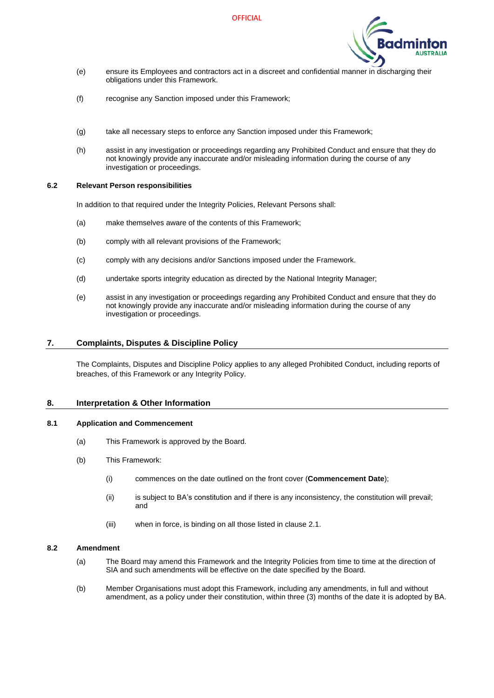

- (e) ensure its Employees and contractors act in a discreet and confidential manner in discharging their obligations under this Framework.
- (f) recognise any Sanction imposed under this Framework;
- (g) take all necessary steps to enforce any Sanction imposed under this Framework;
- (h) assist in any investigation or proceedings regarding any Prohibited Conduct and ensure that they do not knowingly provide any inaccurate and/or misleading information during the course of any investigation or proceedings.

#### <span id="page-8-1"></span><span id="page-8-0"></span>**6.2 Relevant Person responsibilities**

In addition to that required under the Integrity Policies, Relevant Persons shall:

- (a) make themselves aware of the contents of this Framework;
- (b) comply with all relevant provisions of the Framework;
- (c) comply with any decisions and/or Sanctions imposed under the Framework.
- (d) undertake sports integrity education as directed by the National Integrity Manager;
- (e) assist in any investigation or proceedings regarding any Prohibited Conduct and ensure that they do not knowingly provide any inaccurate and/or misleading information during the course of any investigation or proceedings.

#### <span id="page-8-2"></span>**7. Complaints, Disputes & Discipline Policy**

The Complaints, Disputes and Discipline Policy applies to any alleged Prohibited Conduct, including reports of breaches, of this Framework or any Integrity Policy.

#### <span id="page-8-3"></span>**8. Interpretation & Other Information**

#### <span id="page-8-4"></span>**8.1 Application and Commencement**

- (a) This Framework is approved by the Board.
- (b) This Framework:
	- (i) commences on the date outlined on the front cover (**Commencement Date**);
	- (ii) is subject to BA's constitution and if there is any inconsistency, the constitution will prevail; and
	- (iii) when in force, is binding on all those listed in clause [2.1.](#page-4-1)

#### <span id="page-8-5"></span>**8.2 Amendment**

- (a) The Board may amend this Framework and the Integrity Policies from time to time at the direction of SIA and such amendments will be effective on the date specified by the Board.
- (b) Member Organisations must adopt this Framework, including any amendments, in full and without amendment, as a policy under their constitution, within three (3) months of the date it is adopted by BA.